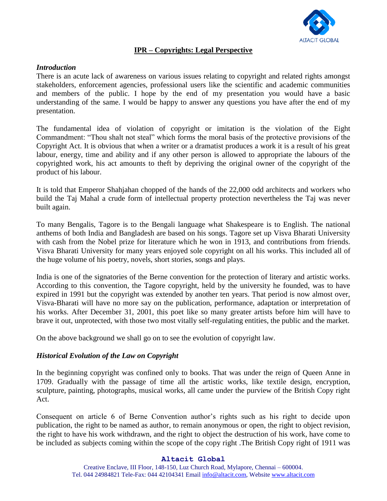

## **IPR – Copyrights: Legal Perspective**

### *Introduction*

There is an acute lack of awareness on various issues relating to copyright and related rights amongst stakeholders, enforcement agencies, professional users like the scientific and academic communities and members of the public. I hope by the end of my presentation you would have a basic understanding of the same. I would be happy to answer any questions you have after the end of my presentation.

The fundamental idea of violation of copyright or imitation is the violation of the Eight Commandment: "Thou shalt not steal" which forms the moral basis of the protective provisions of the Copyright Act. It is obvious that when a writer or a dramatist produces a work it is a result of his great labour, energy, time and ability and if any other person is allowed to appropriate the labours of the copyrighted work, his act amounts to theft by depriving the original owner of the copyright of the product of his labour.

It is told that Emperor Shahjahan chopped of the hands of the 22,000 odd architects and workers who build the Taj Mahal a crude form of intellectual property protection nevertheless the Taj was never built again.

To many Bengalis, Tagore is to the Bengali language what Shakespeare is to English. The national anthems of both India and Bangladesh are based on his songs. Tagore set up Visva Bharati University with cash from the Nobel prize for literature which he won in 1913, and contributions from friends. Visva Bharati University for many years enjoyed sole copyright on all his works. This included all of the huge volume of his poetry, novels, short stories, songs and plays.

India is one of the signatories of the Berne convention for the protection of literary and artistic works. According to this convention, the Tagore copyright, held by the university he founded, was to have expired in 1991 but the copyright was extended by another ten years. That period is now almost over, Visva-Bharati will have no more say on the publication, performance, adaptation or interpretation of his works. After December 31, 2001, this poet like so many greater artists before him will have to brave it out, unprotected, with those two most vitally self-regulating entities, the public and the market.

On the above background we shall go on to see the evolution of copyright law.

## *Historical Evolution of the Law on Copyright*

In the beginning copyright was confined only to books. That was under the reign of Queen Anne in 1709. Gradually with the passage of time all the artistic works, like textile design, encryption, sculpture, painting, photographs, musical works, all came under the purview of the British Copy right Act.

Consequent on article 6 of Berne Convention author's rights such as his right to decide upon publication, the right to be named as author, to remain anonymous or open, the right to object revision, the right to have his work withdrawn, and the right to object the destruction of his work, have come to be included as subjects coming within the scope of the copy right .The British Copy right of 1911 was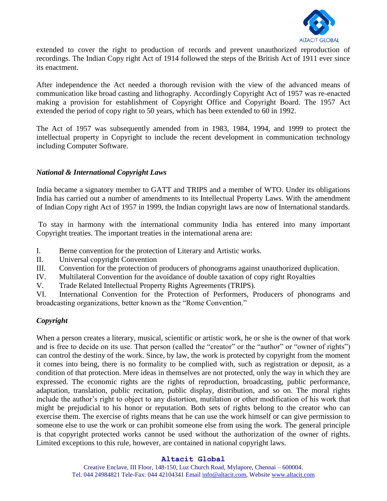

extended to cover the right to production of records and prevent unauthorized reproduction of recordings. The Indian Copy right Act of 1914 followed the steps of the British Act of 1911 ever since its enactment.

After independence the Act needed a thorough revision with the view of the advanced means of communication like broad casting and lithography. Accordingly Copyright Act of 1957 was re-enacted making a provision for establishment of Copyright Office and Copyright Board. The 1957 Act extended the period of copy right to 50 years, which has been extended to 60 in 1992.

The Act of 1957 was subsequently amended from in 1983, 1984, 1994, and 1999 to protect the intellectual property in Copyright to include the recent development in communication technology including Computer Software.

## *National & International Copyright Laws*

India became a signatory member to GATT and TRIPS and a member of WTO. Under its obligations India has carried out a number of amendments to its Intellectual Property Laws. With the amendment of Indian Copy right Act of 1957 in 1999, the Indian copyright laws are now of International standards.

To stay in harmony with the international community India has entered into many important Copyright treaties. The important treaties in the international arena are:

- I. Berne convention for the protection of Literary and Artistic works.
- II. Universal copyright Convention
- III. Convention for the protection of producers of phonograms against unauthorized duplication.
- IV. Multilateral Convention for the avoidance of double taxation of copy right Royalties
- V. Trade Related Intellectual Property Rights Agreements (TRIPS).

VI. International Convention for the Protection of Performers, Producers of phonograms and broadcasting organizations, better known as the "Rome Convention."

# *Copyright*

When a person creates a literary, musical, scientific or artistic work, he or she is the owner of that work and is free to decide on its use. That person (called the "creator" or the "author" or "owner of rights") can control the destiny of the work. Since, by law, the work is protected by copyright from the moment it comes into being, there is no formality to be complied with, such as registration or deposit, as a condition of that protection. Mere ideas in themselves are not protected, only the way in which they are expressed. The economic rights are the rights of reproduction, broadcasting, public performance, adaptation, translation, public recitation, public display, distribution, and so on. The moral rights include the author's right to object to any distortion, mutilation or other modification of his work that might be prejudicial to his honor or reputation. Both sets of rights belong to the creator who can exercise them. The exercise of rights means that he can use the work himself or can give permission to someone else to use the work or can prohibit someone else from using the work. The general principle is that copyright protected works cannot be used without the authorization of the owner of rights. Limited exceptions to this rule, however, are contained in national copyright laws.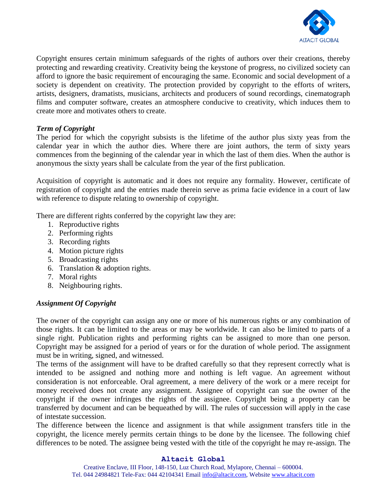

Copyright ensures certain minimum safeguards of the rights of authors over their creations, thereby protecting and rewarding creativity. Creativity being the keystone of progress, no civilized society can afford to ignore the basic requirement of encouraging the same. Economic and social development of a society is dependent on creativity. The protection provided by copyright to the efforts of writers, artists, designers, dramatists, musicians, architects and producers of sound recordings, cinematograph films and computer software, creates an atmosphere conducive to creativity, which induces them to create more and motivates others to create.

## *Term of Copyright*

The period for which the copyright subsists is the lifetime of the author plus sixty yeas from the calendar year in which the author dies. Where there are joint authors, the term of sixty years commences from the beginning of the calendar year in which the last of them dies. When the author is anonymous the sixty years shall be calculate from the year of the first publication.

Acquisition of copyright is automatic and it does not require any formality. However, certificate of registration of copyright and the entries made therein serve as prima facie evidence in a court of law with reference to dispute relating to ownership of copyright.

There are different rights conferred by the copyright law they are:

- 1. Reproductive rights
- 2. Performing rights
- 3. Recording rights
- 4. Motion picture rights
- 5. Broadcasting rights
- 6. Translation & adoption rights.
- 7. Moral rights
- 8. Neighbouring rights.

## *Assignment Of Copyright*

The owner of the copyright can assign any one or more of his numerous rights or any combination of those rights. It can be limited to the areas or may be worldwide. It can also be limited to parts of a single right. Publication rights and performing rights can be assigned to more than one person. Copyright may be assigned for a period of years or for the duration of whole period. The assignment must be in writing, signed, and witnessed.

The terms of the assignment will have to be drafted carefully so that they represent correctly what is intended to be assigned and nothing more and nothing is left vague. An agreement without consideration is not enforceable. Oral agreement, a mere delivery of the work or a mere receipt for money received does not create any assignment. Assignee of copyright can sue the owner of the copyright if the owner infringes the rights of the assignee. Copyright being a property can be transferred by document and can be bequeathed by will. The rules of succession will apply in the case of intestate succession.

The difference between the licence and assignment is that while assignment transfers title in the copyright, the licence merely permits certain things to be done by the licensee. The following chief differences to be noted. The assignee being vested with the title of the copyright he may re-assign. The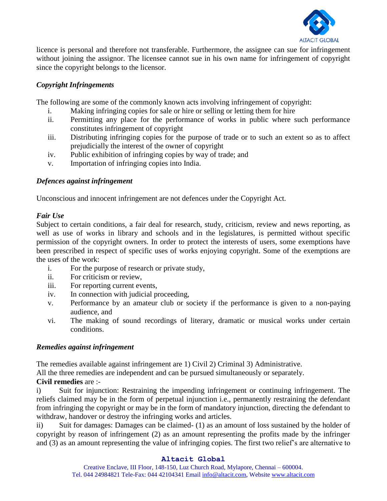

licence is personal and therefore not transferable. Furthermore, the assignee can sue for infringement without joining the assignor. The licensee cannot sue in his own name for infringement of copyright since the copyright belongs to the licensor.

# *Copyright Infringements*

The following are some of the commonly known acts involving infringement of copyright:

- i. Making infringing copies for sale or hire or selling or letting them for hire
- ii. Permitting any place for the performance of works in public where such performance constitutes infringement of copyright
- iii. Distributing infringing copies for the purpose of trade or to such an extent so as to affect prejudicially the interest of the owner of copyright
- iv. Public exhibition of infringing copies by way of trade; and
- v. Importation of infringing copies into India.

## *Defences against infringement*

Unconscious and innocent infringement are not defences under the Copyright Act.

## *Fair Use*

Subject to certain conditions, a fair deal for research, study, criticism, review and news reporting, as well as use of works in library and schools and in the legislatures, is permitted without specific permission of the copyright owners. In order to protect the interests of users, some exemptions have been prescribed in respect of specific uses of works enjoying copyright. Some of the exemptions are the uses of the work:

- i. For the purpose of research or private study,
- ii. For criticism or review,
- iii. For reporting current events,
- iv. In connection with judicial proceeding,
- v. Performance by an amateur club or society if the performance is given to a non-paying audience, and
- vi. The making of sound recordings of literary, dramatic or musical works under certain conditions.

## *Remedies against infringement*

The remedies available against infringement are 1) Civil 2) Criminal 3) Administrative.

All the three remedies are independent and can be pursued simultaneously or separately.

# **Civil remedies** are :-

i) Suit for injunction: Restraining the impending infringement or continuing infringement. The reliefs claimed may be in the form of perpetual injunction i.e., permanently restraining the defendant from infringing the copyright or may be in the form of mandatory injunction, directing the defendant to withdraw, handover or destroy the infringing works and articles.

ii) Suit for damages: Damages can be claimed- (1) as an amount of loss sustained by the holder of copyright by reason of infringement (2) as an amount representing the profits made by the infringer and (3) as an amount representing the value of infringing copies. The first two relief's are alternative to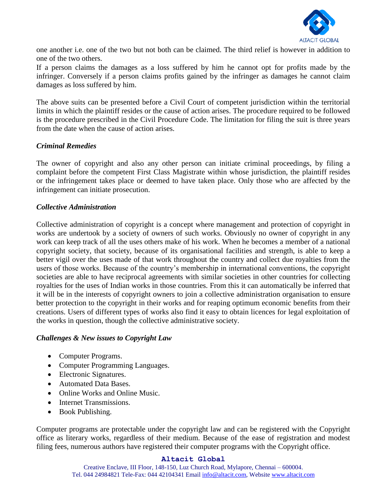

one another i.e. one of the two but not both can be claimed. The third relief is however in addition to one of the two others.

If a person claims the damages as a loss suffered by him he cannot opt for profits made by the infringer. Conversely if a person claims profits gained by the infringer as damages he cannot claim damages as loss suffered by him.

The above suits can be presented before a Civil Court of competent jurisdiction within the territorial limits in which the plaintiff resides or the cause of action arises. The procedure required to be followed is the procedure prescribed in the Civil Procedure Code. The limitation for filing the suit is three years from the date when the cause of action arises.

### *Criminal Remedies*

The owner of copyright and also any other person can initiate criminal proceedings, by filing a complaint before the competent First Class Magistrate within whose jurisdiction, the plaintiff resides or the infringement takes place or deemed to have taken place. Only those who are affected by the infringement can initiate prosecution.

#### *Collective Administration*

Collective administration of copyright is a concept where management and protection of copyright in works are undertook by a society of owners of such works. Obviously no owner of copyright in any work can keep track of all the uses others make of his work. When he becomes a member of a national copyright society, that society, because of its organisational facilities and strength, is able to keep a better vigil over the uses made of that work throughout the country and collect due royalties from the users of those works. Because of the country's membership in international conventions, the copyright societies are able to have reciprocal agreements with similar societies in other countries for collecting royalties for the uses of Indian works in those countries. From this it can automatically be inferred that it will be in the interests of copyright owners to join a collective administration organisation to ensure better protection to the copyright in their works and for reaping optimum economic benefits from their creations. Users of different types of works also find it easy to obtain licences for legal exploitation of the works in question, though the collective administrative society.

#### *Challenges & New issues to Copyright Law*

- Computer Programs.
- Computer Programming Languages.
- Electronic Signatures.
- Automated Data Bases.
- Online Works and Online Music.
- Internet Transmissions.
- Book Publishing.

Computer programs are protectable under the copyright law and can be registered with the Copyright office as literary works, regardless of their medium. Because of the ease of registration and modest filing fees, numerous authors have registered their computer programs with the Copyright office.